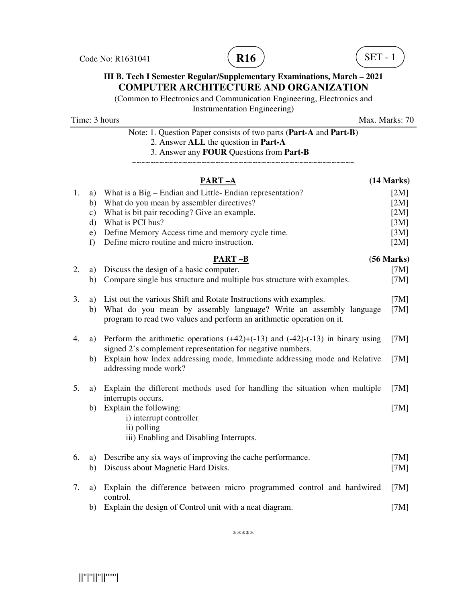Code No: R1631041  $(R16)$  (RT - 1)





# **III B. Tech I Semester Regular/Supplementary Examinations, March – 2021 COMPUTER ARCHITECTURE AND ORGANIZATION**

(Common to Electronics and Communication Engineering, Electronics and Instrumentation Engineering)

Time: 3 hours Max. Marks: 70

| Note: 1. Question Paper consists of two parts (Part-A and Part-B) |
|-------------------------------------------------------------------|
| 2. Answer ALL the question in <b>Part-A</b>                       |
| 3. Answer any <b>FOUR</b> Questions from <b>Part-B</b>            |

~~~~~~~~~~~~~~~~~~~~~~~~~~~~~~~~~~~~~~~~~~~~~~~~

|    |               | PART-A                                                                                                                                          | (14 Marks) |  |
|----|---------------|-------------------------------------------------------------------------------------------------------------------------------------------------|------------|--|
| 1. | a)            | What is a Big – Endian and Little- Endian representation?                                                                                       | [2M]       |  |
|    | b)            | What do you mean by assembler directives?                                                                                                       | [2M]       |  |
|    | $\mathbf{c})$ | What is bit pair recoding? Give an example.                                                                                                     | [2M]       |  |
|    | $\mathbf{d}$  | What is PCI bus?                                                                                                                                | [3M]       |  |
|    | e)            | Define Memory Access time and memory cycle time.                                                                                                | [3M]       |  |
|    | f)            | Define micro routine and micro instruction.                                                                                                     | [2M]       |  |
|    |               | $PART-B$                                                                                                                                        | (56 Marks) |  |
| 2. | a)            | Discuss the design of a basic computer.                                                                                                         | [7M]       |  |
|    | b)            | Compare single bus structure and multiple bus structure with examples.                                                                          | [7M]       |  |
| 3. | a)            | List out the various Shift and Rotate Instructions with examples.                                                                               | [7M]       |  |
|    | b)            | What do you mean by assembly language? Write an assembly language<br>program to read two values and perform an arithmetic operation on it.      | [7M]       |  |
| 4. | a)            | Perform the arithmetic operations $(+42)+(-13)$ and $(-42)-(-13)$ in binary using<br>signed 2's complement representation for negative numbers. | [7M]       |  |
|    | b)            | Explain how Index addressing mode, Immediate addressing mode and Relative<br>addressing mode work?                                              | [7M]       |  |
| 5. | a)            | Explain the different methods used for handling the situation when multiple<br>interrupts occurs.                                               | [7M]       |  |
|    | b)            | Explain the following:                                                                                                                          | [7M]       |  |
|    |               | i) interrupt controller                                                                                                                         |            |  |
|    |               | ii) polling                                                                                                                                     |            |  |
|    |               | iii) Enabling and Disabling Interrupts.                                                                                                         |            |  |
| 6. | a)            | Describe any six ways of improving the cache performance.                                                                                       | [7M]       |  |
|    | b)            | Discuss about Magnetic Hard Disks.                                                                                                              | [7M]       |  |
|    |               |                                                                                                                                                 |            |  |
| 7. | a)            | Explain the difference between micro programmed control and hardwired<br>control.                                                               | [7M]       |  |
|    | b)            | Explain the design of Control unit with a neat diagram.                                                                                         | [7M]       |  |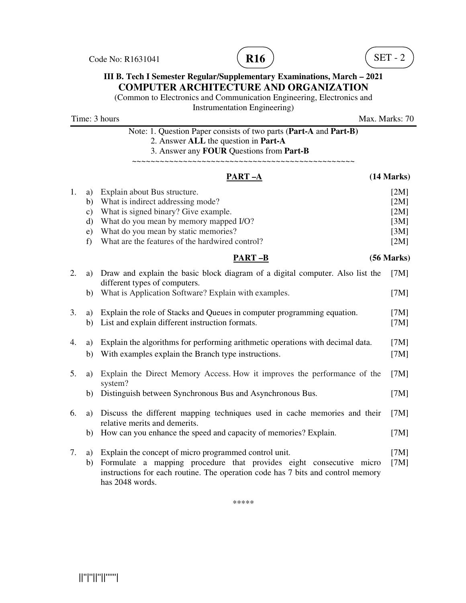Code No: R1631041 **R16** (R16) **R16** (SET - 2



## **III B. Tech I Semester Regular/Supplementary Examinations, March – 2021 COMPUTER ARCHITECTURE AND ORGANIZATION**

(Common to Electronics and Communication Engineering, Electronics and Instrumentation Engineering)

Time: 3 hours Max. Marks: 70

#### Note: 1. Question Paper consists of two parts (**Part-A** and **Part-B)** 2. Answer **ALL** the question in **Part-A** 3. Answer any **FOUR** Questions from **Part-B**

~~~~~~~~~~~~~~~~~~~~~~~~~~~~~~~~~~~~~~~~~~~~~~~~

### **PART –A (14 Marks)**

| e) | What is indirect addressing mode?<br>What do you mean by memory mapped I/O?<br>What do you mean by static memories? | [ $2M$ ]<br>[2M]<br>[2M]<br>[3M]<br>[3M]                                         |
|----|---------------------------------------------------------------------------------------------------------------------|----------------------------------------------------------------------------------|
|    | What are the features of the hardwired control?                                                                     | [2M]                                                                             |
|    |                                                                                                                     | a) Explain about Bus structure.<br>b)<br>c) What is signed binary? Give example. |

#### **PART –B (56 Marks)**

2. a) Draw and explain the basic block diagram of a digital computer. Also list the different types of computers. [7M] b) What is Application Software? Explain with examples. [7M] 3. a) Explain the role of Stacks and Queues in computer programming equation. [7M] b) List and explain different instruction formats. [7M] 4. a) Explain the algorithms for performing arithmetic operations with decimal data. [7M] b) With examples explain the Branch type instructions. [7M] 5. a) Explain the Direct Memory Access. How it improves the performance of the system? [7M] b) Distinguish between Synchronous Bus and Asynchronous Bus. [7M]

- 6. a) Discuss the different mapping techniques used in cache memories and their relative merits and demerits. [7M] b) How can you enhance the speed and capacity of memories? Explain. [7M]
- 7. a) Explain the concept of micro programmed control unit. [7M] b) Formulate a mapping procedure that provides eight consecutive micro instructions for each routine. The operation code has 7 bits and control memory has 2048 words. [7M]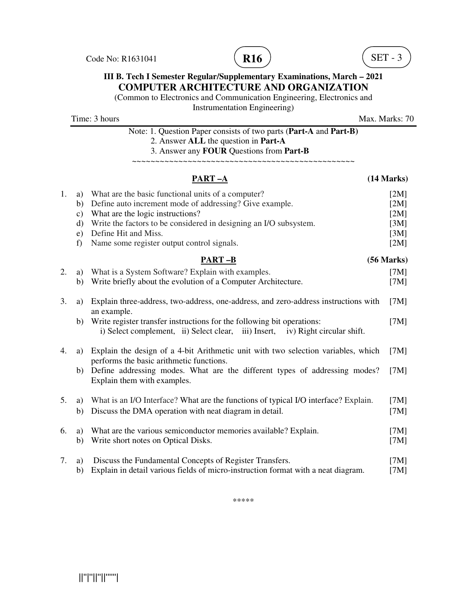||''|''||''||''''''|

Code No: R1631041 **R16** (R16) **R16** (SET - 3

## **III B. Tech I Semester Regular/Supplementary Examinations, March – 2021 COMPUTER ARCHITECTURE AND ORGANIZATION**

(Common to Electronics and Communication Engineering, Electronics and

Instrumentation Engineering)

Time: 3 hours Max. Marks: 70

| Note: 1. Question Paper consists of two parts (Part-A and Part-B) |
|-------------------------------------------------------------------|
| 2. Answer ALL the question in <b>Part-A</b>                       |
| 3. Answer any <b>FOUR</b> Questions from <b>Part-B</b>            |
|                                                                   |

# **PART –A** (14 Marks)

| 1. | a)<br>b)      | What are the basic functional units of a computer?<br>Define auto increment mode of addressing? Give example.                                            | [2M]<br>[2M] |  |
|----|---------------|----------------------------------------------------------------------------------------------------------------------------------------------------------|--------------|--|
|    | $\mathbf{c})$ | What are the logic instructions?                                                                                                                         | [2M]         |  |
|    | d)            | Write the factors to be considered in designing an I/O subsystem.                                                                                        | [3M]         |  |
|    | e)            | Define Hit and Miss.                                                                                                                                     | [3M]         |  |
|    | f)            | Name some register output control signals.                                                                                                               | [2M]         |  |
|    |               | $PART-B$                                                                                                                                                 | (56 Marks)   |  |
| 2. | a)            | What is a System Software? Explain with examples.                                                                                                        | [7M]         |  |
|    | b)            | Write briefly about the evolution of a Computer Architecture.                                                                                            | [7M]         |  |
| 3. | a)            | Explain three-address, two-address, one-address, and zero-address instructions with<br>an example.                                                       | [7M]         |  |
|    | b)            | Write register transfer instructions for the following bit operations:<br>i) Select complement, ii) Select clear, iii) Insert, iv) Right circular shift. | [7M]         |  |
| 4. | a)            | Explain the design of a 4-bit Arithmetic unit with two selection variables, which<br>performs the basic arithmetic functions.                            | [7M]         |  |
|    | b)            | Define addressing modes. What are the different types of addressing modes?<br>Explain them with examples.                                                | [7M]         |  |
| 5. | a)            | What is an I/O Interface? What are the functions of typical I/O interface? Explain.                                                                      | [7M]         |  |
|    | b)            | Discuss the DMA operation with neat diagram in detail.                                                                                                   | [7M]         |  |
| 6. | a)<br>b)      | What are the various semiconductor memories available? Explain.<br>Write short notes on Optical Disks.                                                   | [7M]<br>[7M] |  |
|    |               |                                                                                                                                                          |              |  |

7. a) Discuss the Fundamental Concepts of Register Transfers. [7M] b) Explain in detail various fields of micro-instruction format with a neat diagram. [7M]